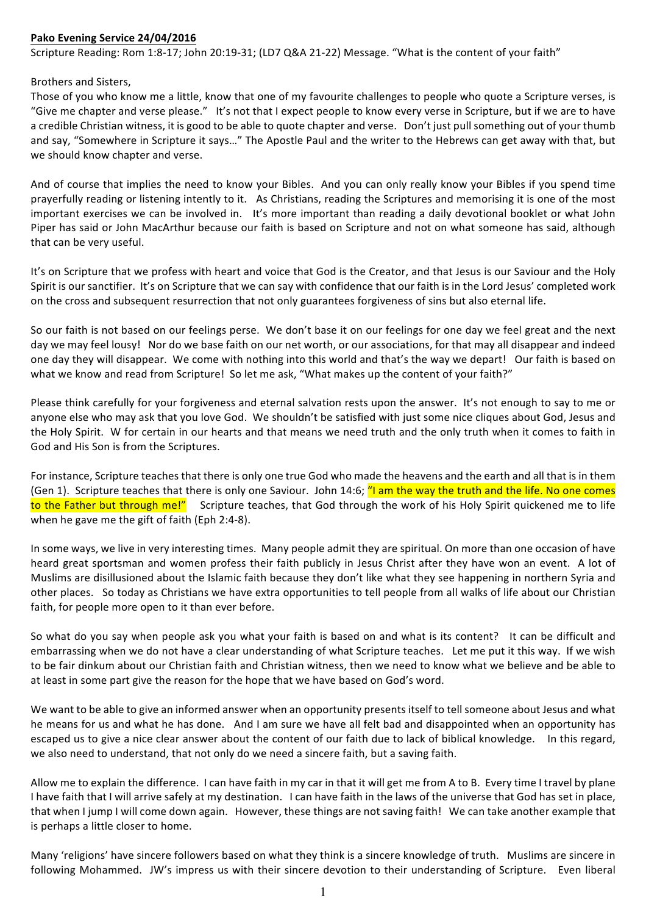## **Pako Evening Service 24/04/2016**

Scripture Reading: Rom 1:8-17; John 20:19-31; (LD7 Q&A 21-22) Message. "What is the content of your faith"

## Brothers and Sisters.

Those of you who know me a little, know that one of my favourite challenges to people who quote a Scripture verses, is "Give me chapter and verse please." It's not that I expect people to know every verse in Scripture, but if we are to have a credible Christian witness, it is good to be able to quote chapter and verse. Don't just pull something out of your thumb and say, "Somewhere in Scripture it says..." The Apostle Paul and the writer to the Hebrews can get away with that, but we should know chapter and verse.

And of course that implies the need to know your Bibles. And you can only really know your Bibles if you spend time prayerfully reading or listening intently to it. As Christians, reading the Scriptures and memorising it is one of the most important exercises we can be involved in. It's more important than reading a daily devotional booklet or what John Piper has said or John MacArthur because our faith is based on Scripture and not on what someone has said, although that can be very useful.

It's on Scripture that we profess with heart and voice that God is the Creator, and that Jesus is our Saviour and the Holy Spirit is our sanctifier. It's on Scripture that we can say with confidence that our faith is in the Lord Jesus' completed work on the cross and subsequent resurrection that not only guarantees forgiveness of sins but also eternal life.

So our faith is not based on our feelings perse. We don't base it on our feelings for one day we feel great and the next day we may feel lousy! Nor do we base faith on our net worth, or our associations, for that may all disappear and indeed one day they will disappear. We come with nothing into this world and that's the way we depart! Our faith is based on what we know and read from Scripture! So let me ask, "What makes up the content of your faith?"

Please think carefully for your forgiveness and eternal salvation rests upon the answer. It's not enough to say to me or anyone else who may ask that you love God. We shouldn't be satisfied with just some nice cliques about God, Jesus and the Holy Spirit. W for certain in our hearts and that means we need truth and the only truth when it comes to faith in God and His Son is from the Scriptures.

For instance, Scripture teaches that there is only one true God who made the heavens and the earth and all that is in them (Gen 1). Scripture teaches that there is only one Saviour. John 14:6; "I am the way the truth and the life. No one comes to the Father but through me!" Scripture teaches, that God through the work of his Holy Spirit quickened me to life when he gave me the gift of faith (Eph 2:4-8).

In some ways, we live in very interesting times. Many people admit they are spiritual. On more than one occasion of have heard great sportsman and women profess their faith publicly in Jesus Christ after they have won an event. A lot of Muslims are disillusioned about the Islamic faith because they don't like what they see happening in northern Syria and other places. So today as Christians we have extra opportunities to tell people from all walks of life about our Christian faith, for people more open to it than ever before.

So what do you say when people ask you what your faith is based on and what is its content? It can be difficult and embarrassing when we do not have a clear understanding of what Scripture teaches. Let me put it this way. If we wish to be fair dinkum about our Christian faith and Christian witness, then we need to know what we believe and be able to at least in some part give the reason for the hope that we have based on God's word.

We want to be able to give an informed answer when an opportunity presents itself to tell someone about Jesus and what he means for us and what he has done. And I am sure we have all felt bad and disappointed when an opportunity has escaped us to give a nice clear answer about the content of our faith due to lack of biblical knowledge. In this regard, we also need to understand, that not only do we need a sincere faith, but a saving faith.

Allow me to explain the difference. I can have faith in my car in that it will get me from A to B. Every time I travel by plane I have faith that I will arrive safely at my destination. I can have faith in the laws of the universe that God has set in place, that when I jump I will come down again. However, these things are not saving faith! We can take another example that is perhaps a little closer to home.

Many 'religions' have sincere followers based on what they think is a sincere knowledge of truth. Muslims are sincere in following Mohammed. JW's impress us with their sincere devotion to their understanding of Scripture. Even liberal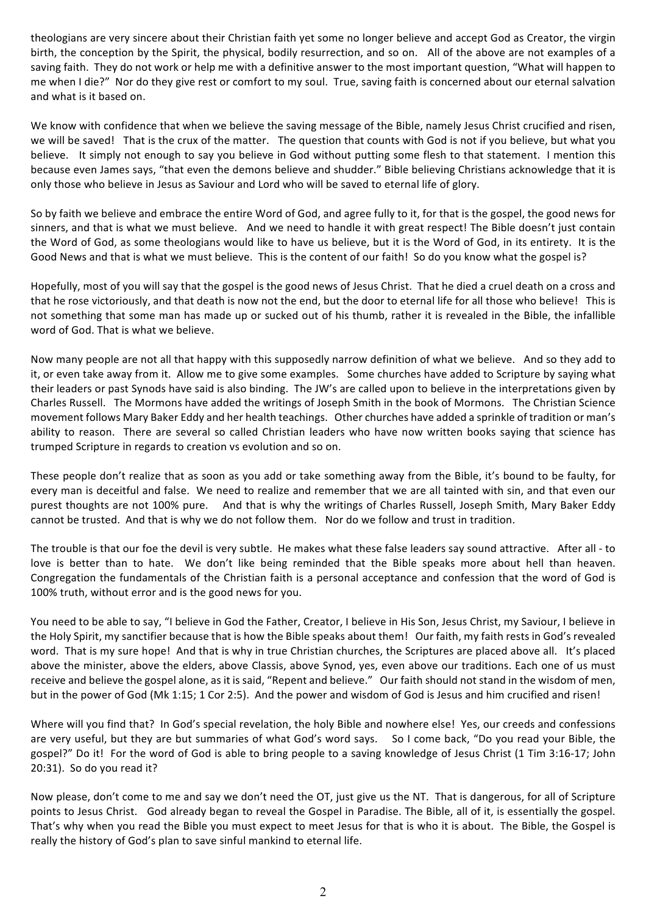theologians are very sincere about their Christian faith yet some no longer believe and accept God as Creator, the virgin birth, the conception by the Spirit, the physical, bodily resurrection, and so on. All of the above are not examples of a saving faith. They do not work or help me with a definitive answer to the most important question, "What will happen to me when I die?" Nor do they give rest or comfort to my soul. True, saving faith is concerned about our eternal salvation and what is it based on.

We know with confidence that when we believe the saving message of the Bible, namely Jesus Christ crucified and risen, we will be saved! That is the crux of the matter. The question that counts with God is not if you believe, but what you believe. It simply not enough to say you believe in God without putting some flesh to that statement. I mention this because even James says, "that even the demons believe and shudder." Bible believing Christians acknowledge that it is only those who believe in Jesus as Saviour and Lord who will be saved to eternal life of glory.

So by faith we believe and embrace the entire Word of God, and agree fully to it, for that is the gospel, the good news for sinners, and that is what we must believe. And we need to handle it with great respect! The Bible doesn't just contain the Word of God, as some theologians would like to have us believe, but it is the Word of God, in its entirety. It is the Good News and that is what we must believe. This is the content of our faith! So do you know what the gospel is?

Hopefully, most of you will say that the gospel is the good news of Jesus Christ. That he died a cruel death on a cross and that he rose victoriously, and that death is now not the end, but the door to eternal life for all those who believe! This is not something that some man has made up or sucked out of his thumb, rather it is revealed in the Bible, the infallible word of God. That is what we believe.

Now many people are not all that happy with this supposedly narrow definition of what we believe. And so they add to it, or even take away from it. Allow me to give some examples. Some churches have added to Scripture by saying what their leaders or past Synods have said is also binding. The JW's are called upon to believe in the interpretations given by Charles Russell. The Mormons have added the writings of Joseph Smith in the book of Mormons. The Christian Science movement follows Mary Baker Eddy and her health teachings. Other churches have added a sprinkle of tradition or man's ability to reason. There are several so called Christian leaders who have now written books saying that science has trumped Scripture in regards to creation vs evolution and so on.

These people don't realize that as soon as you add or take something away from the Bible, it's bound to be faulty, for every man is deceitful and false. We need to realize and remember that we are all tainted with sin, and that even our purest thoughts are not 100% pure. And that is why the writings of Charles Russell, Joseph Smith, Mary Baker Eddy cannot be trusted. And that is why we do not follow them. Nor do we follow and trust in tradition.

The trouble is that our foe the devil is very subtle. He makes what these false leaders say sound attractive. After all - to love is better than to hate. We don't like being reminded that the Bible speaks more about hell than heaven. Congregation the fundamentals of the Christian faith is a personal acceptance and confession that the word of God is 100% truth, without error and is the good news for you.

You need to be able to say, "I believe in God the Father, Creator, I believe in His Son, Jesus Christ, my Saviour, I believe in the Holy Spirit, my sanctifier because that is how the Bible speaks about them! Our faith, my faith rests in God's revealed word. That is my sure hope! And that is why in true Christian churches, the Scriptures are placed above all. It's placed above the minister, above the elders, above Classis, above Synod, yes, even above our traditions. Each one of us must receive and believe the gospel alone, as it is said, "Repent and believe." Our faith should not stand in the wisdom of men, but in the power of God (Mk 1:15; 1 Cor 2:5). And the power and wisdom of God is Jesus and him crucified and risen!

Where will you find that? In God's special revelation, the holy Bible and nowhere else! Yes, our creeds and confessions are very useful, but they are but summaries of what God's word says. So I come back, "Do you read your Bible, the gospel?" Do it! For the word of God is able to bring people to a saving knowledge of Jesus Christ (1 Tim 3:16-17; John  $20:31$ ). So do you read it?

Now please, don't come to me and say we don't need the OT, just give us the NT. That is dangerous, for all of Scripture points to Jesus Christ. God already began to reveal the Gospel in Paradise. The Bible, all of it, is essentially the gospel. That's why when you read the Bible you must expect to meet Jesus for that is who it is about. The Bible, the Gospel is really the history of God's plan to save sinful mankind to eternal life.